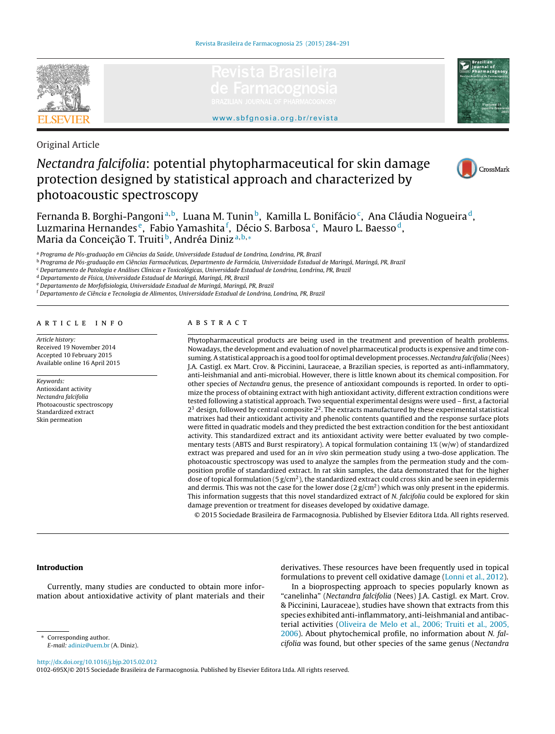





Original Article

# Nectandra falcifolia: potential phytopharmaceutical for skin damage protection designed by statistical approach and characterized by photoacoustic spectroscopy



Fernanda B. Borghi-Pangoni<sup>a, b</sup>, Luana M. Tunin<sup>b</sup>, Kamilla L. Bonifácio<sup>c</sup>, Ana Cláudia Nogueira<sup>d</sup>, Luzmarina Hernandes <sup>e</sup>, Fabio Yamashita <sup>f</sup>, Décio S. Barbosa <sup>c</sup>, Mauro L. Baesso <sup>d</sup>, Maria da Conceição T. Truiti<sup>b</sup>, Andréa Diniz<sup>a,b,∗</sup>

a Programa de Pós-graduação em Ciências da Saúde, Universidade Estadual de Londrina, Londrina, PR, Brazil

<sup>b</sup> Programa de Pós-graduação em Ciências Farmacêuticas, Departmento de Farmácia, Universidade Estadual de Maringá, Maringá, PR, Brazil

<sup>c</sup> Departamento de Patologia e Análises Clínicas e Toxicológicas, Universidade Estadual de Londrina, Londrina, PR, Brazil

<sup>d</sup> Departamento de Física, Universidade Estadual de Maringá, Maringá, PR, Brazil

<sup>e</sup> Departamento de Morfofisiologia, Universidade Estadual de Maringá, Maringá, PR, Brazil

<sup>f</sup> Departamento de Ciência e Tecnologia de Alimentos, Universidade Estadual de Londrina, Londrina, PR, Brazil

# a r t i c l e i n f o

Article history: Received 19 November 2014 Accepted 10 February 2015 Available online 16 April 2015

Keywords: Antioxidant activity Nectandra falcifolia Photoacoustic spectroscopy Standardized extract Skin permeation

# a b s t r a c t

Phytopharmaceutical products are being used in the treatment and prevention of health problems. Nowadays, the development and evaluation of novel pharmaceutical products is expensive and time consuming. A statistical approach is a good tool for optimal development processes. Nectandra falcifolia (Nees) J.A. Castigl. ex Mart. Crov. & Piccinini, Lauraceae, a Brazilian species, is reported as anti-inflammatory, anti-leishmanial and anti-microbial. However, there is little known about its chemical composition. For other species of Nectandra genus, the presence of antioxidant compounds is reported. In order to optimize the process of obtaining extract with high antioxidant activity, different extraction conditions were tested following a statistical approach. Two sequential experimental designs were used – first, a factorial  $2<sup>3</sup>$  design, followed by central composite  $2<sup>2</sup>$ . The extracts manufactured by these experimental statistical matrixes had their antioxidant activity and phenolic contents quantified and the response surface plots were fitted in quadratic models and they predicted the best extraction condition for the best antioxidant activity. This standardized extract and its antioxidant activity were better evaluated by two complementary tests (ABTS and Burst respiratory). A topical formulation containing 1% (w/w) of standardized extract was prepared and used for an in vivo skin permeation study using a two-dose application. The photoacoustic spectroscopy was used to analyze the samples from the permeation study and the composition profile of standardized extract. In rat skin samples, the data demonstrated that for the higher dose of topical formulation (5  $g/cm<sup>2</sup>$ ), the standardized extract could cross skin and be seen in epidermis and dermis. This was not the case for the lower dose  $(2 g/cm<sup>2</sup>)$  which was only present in the epidermis. This information suggests that this novel standardized extract of N. falcifolia could be explored for skin damage prevention or treatment for diseases developed by oxidative damage.

© 2015 Sociedade Brasileira de Farmacognosia. Published by Elsevier Editora Ltda. All rights reserved.

## **Introduction**

Currently, many studies are conducted to obtain more information about antioxidative activity of plant materials and their derivatives. These resources have been frequently used in topical formulations to prevent cell oxidative damage [\(Lonni](#page-7-0) et [al.,](#page-7-0) [2012\).](#page-7-0)

In a bioprospecting approach to species popularly known as "canelinha" (Nectandra falcifolia (Nees) J.A. Castigl. ex Mart. Crov. & Piccinini, Lauraceae), studies have shown that extracts from this species exhibited anti-inflammatory, anti-leishmanial and antibacterial activities [\(Oliveira](#page-7-0) [de](#page-7-0) [Melo](#page-7-0) et [al.,](#page-7-0) [2006;](#page-7-0) [Truiti](#page-7-0) et [al.,](#page-7-0) [2005,](#page-7-0) [2006\).](#page-7-0) About phytochemical profile, no information about N. falcifolia was found, but other species of the same genus (Nectandra

Corresponding author. E-mail: [adiniz@uem.br](mailto:adiniz@uem.br) (A. Diniz).

[http://dx.doi.org/10.1016/j.bjp.2015.02.012](dx.doi.org/10.1016/j.bjp.2015.02.012)

0102-695X/© 2015 Sociedade Brasileira de Farmacognosia. Published by Elsevier Editora Ltda. All rights reserved.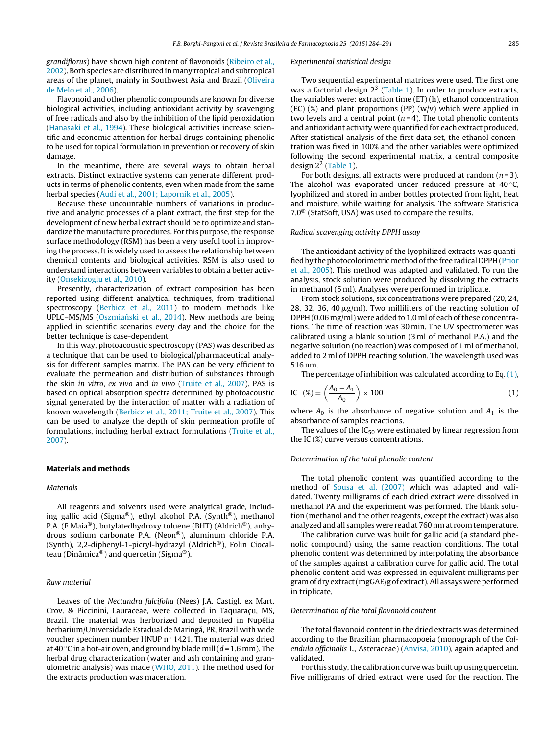grandiflorus) have shown high content of flavonoids ([Ribeiro](#page-7-0) et [al.,](#page-7-0) [2002\).](#page-7-0) Both species are distributed in many tropical and subtropical areas of the planet, mainly in Southwest Asia and Brazil [\(Oliveira](#page-7-0) [de](#page-7-0) [Melo](#page-7-0) et [al.,](#page-7-0) [2006\).](#page-7-0)

Flavonoid and other phenolic compounds are known for diverse biological activities, including antioxidant activity by scavenging of free radicals and also by the inhibition of the lipid peroxidation ([Hanasaki](#page-7-0) et [al.,](#page-7-0) [1994\).](#page-7-0) These biological activities increase scientific and economic attention for herbal drugs containing phenolic to be used for topical formulation in prevention or recovery of skin damage.

In the meantime, there are several ways to obtain herbal extracts. Distinct extractive systems can generate different products in terms of phenolic contents, even when made from the same herbal species ([Audi](#page-7-0) et [al.,](#page-7-0) [2001;](#page-7-0) [Lapornik](#page-7-0) et [al.,](#page-7-0) [2005\).](#page-7-0)

Because these uncountable numbers of variations in productive and analytic processes of a plant extract, the first step for the development of new herbal extract should be to optimize and standardize the manufacture procedures. For this purpose, the response surface methodology (RSM) has been a very useful tool in improving the process. It is widely used to assess the relationship between chemical contents and biological activities. RSM is also used to understand interactions between variables to obtain a better activity ([Onsekizoglu](#page-7-0) et [al.,](#page-7-0) [2010\).](#page-7-0)

Presently, characterization of extract composition has been reported using different analytical techniques, from traditional spectroscopy [\(Berbicz](#page-7-0) et [al.,](#page-7-0) [2011\)](#page-7-0) to modern methods like UPLC–MS/MS (Oszmiański et [al.,](#page-7-0) [2014\).](#page-7-0) New methods are being applied in scientific scenarios every day and the choice for the better technique is case-dependent.

In this way, photoacoustic spectroscopy (PAS) was described as a technique that can be used to biological/pharmaceutical analysis for different samples matrix. The PAS can be very efficient to evaluate the permeation and distribution of substances through the skin in vitro, ex vivo and in vivo [\(Truite](#page-7-0) et [al.,](#page-7-0) [2007\).](#page-7-0) PAS is based on optical absorption spectra determined by photoacoustic signal generated by the interaction of matter with a radiation of known wavelength ([Berbicz](#page-7-0) et [al.,](#page-7-0) [2011;](#page-7-0) [Truite](#page-7-0) et [al.,](#page-7-0) [2007\).](#page-7-0) This can be used to analyze the depth of skin permeation profile of formulations, including herbal extract formulations ([Truite](#page-7-0) et [al.,](#page-7-0) [2007\).](#page-7-0)

#### **Materials and methods**

#### Materials

All reagents and solvents used were analytical grade, including gallic acid (Sigma®), ethyl alcohol P.A. (Synth®), methanol P.A. (F Maia®), butylatedhydroxy toluene (BHT) (Aldrich®), anhydrous sodium carbonate P.A. (Neon®), aluminum chloride P.A. (Synth), 2,2-diphenyl-1-picryl-hydrazyl (Aldrich®), Folin Ciocalteau (Dinâmica®) and quercetin (Sigma®).

## Raw material

Leaves of the Nectandra falcifolia (Nees) J.A. Castigl. ex Mart. Crov. & Piccinini, Lauraceae, were collected in Taquaraçu, MS, Brazil. The material was herborized and deposited in Nupélia herbarium/Universidade Estadual de Maringá, PR, Brazil with wide voucher specimen number HNUP n◦ 1421. The material was dried at 40 °C in a hot-air oven, and ground by blade mill ( $d = 1.6$  mm). The herbal drug characterization (water and ash containing and granulometric analysis) was made ([WHO,](#page-7-0) [2011\).](#page-7-0) The method used for the extracts production was maceration.

#### Experimental statistical design

Two sequential experimental matrices were used. The first one was a factorial design  $2^3$  [\(Table](#page-2-0) 1). In order to produce extracts, the variables were: extraction time (ET) (h), ethanol concentration  $(EC)$  (%) and plant proportions (PP)  $(w/v)$  which were applied in two levels and a central point  $(n=4)$ . The total phenolic contents and antioxidant activity were quantified for each extract produced. After statistical analysis of the first data set, the ethanol concentration was fixed in 100% and the other variables were optimized following the second experimental matrix, a central composite design 22 [\(Table](#page-2-0) 1).

For both designs, all extracts were produced at random  $(n=3)$ . The alcohol was evaporated under reduced pressure at  $40^{\circ}$ C, lyophilized and stored in amber bottles protected from light, heat and moisture, while waiting for analysis. The software Statistica 7.0® (StatSoft, USA) was used to compare the results.

#### Radical scavenging activity DPPH assay

The antioxidant activity of the lyophilized extracts was quanti-fied by the photocolorimetric method of the free radical DPPH [\(Prior](#page-7-0) et [al.,](#page-7-0) [2005\).](#page-7-0) This method was adapted and validated. To run the analysis, stock solution were produced by dissolving the extracts in methanol (5 ml). Analyses were performed in triplicate.

From stock solutions, six concentrations were prepared (20, 24, 28, 32, 36, 40  $\mu$ g/ml). Two milliliters of the reacting solution of DPPH (0.06 mg/ml) were added to 1.0 ml of each of these concentrations. The time of reaction was 30 min. The UV spectrometer was calibrated using a blank solution (3 ml of methanol P.A.) and the negative solution (no reaction) was composed of 1 ml of methanol, added to 2 ml of DPPH reacting solution. The wavelength used was 516 nm.

The percentage of inhibition was calculated according to Eq. (1),

$$
IC \quad (\%) = \left(\frac{A_0 - A_1}{A_0}\right) \times 100\tag{1}
$$

where  $A_0$  is the absorbance of negative solution and  $A_1$  is the absorbance of samples reactions.

The values of the  $IC_{50}$  were estimated by linear regression from the IC (%) curve versus concentrations.

#### Determination of the total phenolic content

The total phenolic content was quantified according to the method of [Sousa](#page-7-0) et [al.](#page-7-0) [\(2007\)](#page-7-0) which was adapted and validated. Twenty milligrams of each dried extract were dissolved in methanol PA and the experiment was performed. The blank solution (methanol and the other reagents, except the extract) was also analyzed and all samples were read at 760 nm at room temperature.

The calibration curve was built for gallic acid (a standard phenolic compound) using the same reaction conditions. The total phenolic content was determined by interpolating the absorbance of the samples against a calibration curve for gallic acid. The total phenolic content acid was expressed in equivalent milligrams per gram of dry extract (mgGAE/g of extract). All assays were performed in triplicate.

#### Determination of the total flavonoid content

The total flavonoid content in the dried extracts was determined according to the Brazilian pharmacopoeia (monograph of the Calendula officinalis L., Asteraceae) ([Anvisa,](#page-7-0) [2010\),](#page-7-0) again adapted and validated.

For this study, the calibration curve was built up using quercetin. Five milligrams of dried extract were used for the reaction. The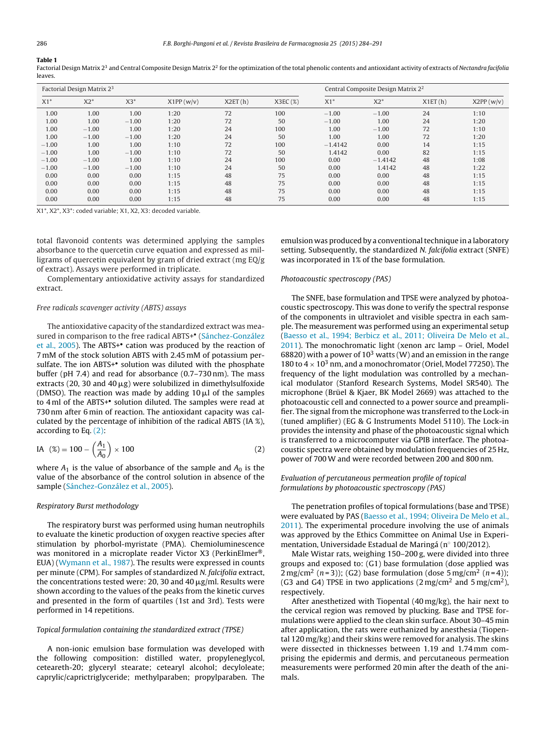#### <span id="page-2-0"></span>**Table 1**

Factorial Design Matrix 2<sup>3</sup> and Central Composite Design Matrix 2<sup>2</sup> for the optimization of the total phenolic contents and antioxidant activity of extracts of Nectandra facifolia leaves.

|         | Factorial Design Matrix 2 <sup>3</sup> |         |            | Central Composite Design Matrix 2 <sup>2</sup> |         |           |           |         |            |
|---------|----------------------------------------|---------|------------|------------------------------------------------|---------|-----------|-----------|---------|------------|
| $X1*$   | $X2^*$                                 | $X3*$   | X1PP (w/v) | X2ET(h)                                        | X3EC(%) | $X1*$     | $X2*$     | X1ET(h) | X2PP (w/v) |
| 1.00    | 1.00                                   | 1.00    | 1:20       | 72                                             | 100     | $-1.00$   | $-1.00$   | 24      | 1:10       |
| 1.00    | 1.00                                   | $-1.00$ | 1:20       | 72                                             | 50      | $-1.00$   | 1.00      | 24      | 1:20       |
| 1.00    | $-1.00$                                | 1.00    | 1:20       | 24                                             | 100     | 1.00      | $-1.00$   | 72      | 1:10       |
| 1.00    | $-1.00$                                | $-1.00$ | 1:20       | 24                                             | 50      | 1.00      | 1.00      | 72      | 1:20       |
| $-1.00$ | 1.00                                   | 1.00    | 1:10       | 72                                             | 100     | $-1.4142$ | 0.00      | 14      | 1:15       |
| $-1.00$ | 1.00                                   | $-1.00$ | 1:10       | 72                                             | 50      | 1.4142    | 0.00      | 82      | 1:15       |
| $-1.00$ | $-1.00$                                | 1.00    | 1:10       | 24                                             | 100     | 0.00      | $-1.4142$ | 48      | 1:08       |
| $-1.00$ | $-1.00$                                | $-1.00$ | 1:10       | 24                                             | 50      | 0.00      | 1.4142    | 48      | 1:22       |
| 0.00    | 0.00                                   | 0.00    | 1:15       | 48                                             | 75      | 0.00      | 0.00      | 48      | 1:15       |
| 0.00    | 0.00                                   | 0.00    | 1:15       | 48                                             | 75      | 0.00      | 0.00      | 48      | 1:15       |
| 0.00    | 0.00                                   | 0.00    | 1:15       | 48                                             | 75      | 0.00      | 0.00      | 48      | 1:15       |
| 0.00    | 0.00                                   | 0.00    | 1:15       | 48                                             | 75      | 0.00      | 0.00      | 48      | 1:15       |

X1\*, X2\*, X3\*: coded variable; X1, X2, X3: decoded variable.

total flavonoid contents was determined applying the samples absorbance to the quercetin curve equation and expressed as milligrams of quercetin equivalent by gram of dried extract (mg EQ/g of extract). Assays were performed in triplicate.

Complementary antioxidative activity assays for standardized extract.

### Free radicals scavenger activity (ABTS) assays

The antioxidative capacity of the standardized extract was measured in comparison to the free radical ABTS+• ([Sánchez-González](#page-7-0) et [al.,](#page-7-0) [2005\).](#page-7-0) The ABTS+• cation was produced by the reaction of 7 mM of the stock solution ABTS with 2.45 mM of potassium persulfate. The ion ABTS+• solution was diluted with the phosphate buffer (pH 7.4) and read for absorbance (0.7–730 nm). The mass extracts (20, 30 and 40  $\mu$ g) were solubilized in dimethylsulfoxide (DMSO). The reaction was made by adding 10  $\mu$ l of the samples to 4 ml of the ABTS+• solution diluted. The samples were read at 730 nm after 6 min of reaction. The antioxidant capacity was calculated by the percentage of inhibition of the radical ABTS (IA %), according to Eq. (2):

IA 
$$
(\%) = 100 - \left(\frac{A_1}{A_0}\right) \times 100
$$
 (2)

where  $A_1$  is the value of absorbance of the sample and  $A_0$  is the value of the absorbance of the control solution in absence of the sample ([Sánchez-González](#page-7-0) et [al.,](#page-7-0) [2005\).](#page-7-0)

#### Respiratory Burst methodology

The respiratory burst was performed using human neutrophils to evaluate the kinetic production of oxygen reactive species after stimulation by phorbol-myristate (PMA). Chemioluminescence was monitored in a microplate reader Victor X3 (PerkinElmer®, EUA) [\(Wymann](#page-7-0) et [al.,](#page-7-0) [1987\).](#page-7-0) The results were expressed in counts per minute (CPM). For samples of standardized N. falcifolia extract, the concentrations tested were: 20, 30 and 40  $\mu$ g/ml. Results were shown according to the values of the peaks from the kinetic curves and presented in the form of quartiles (1st and 3rd). Tests were performed in 14 repetitions.

#### Topical formulation containing the standardized extract (TPSE)

A non-ionic emulsion base formulation was developed with the following composition: distilled water, propyleneglycol, ceteareth-20; glyceryl stearate; cetearyl alcohol; decyloleate; caprylic/caprictriglyceride; methylparaben; propylparaben. The emulsion was produced by a conventional technique in a laboratory setting. Subsequently, the standardized N. falcifolia extract (SNFE) was incorporated in 1% of the base formulation.

#### Photoacoustic spectroscopy (PAS)

The SNFE, base formulation and TPSE were analyzed by photoacoustic spectroscopy. This was done to verify the spectral response of the components in ultraviolet and visible spectra in each sample. The measurement was performed using an experimental setup [\(Baesso](#page-7-0) et [al.,](#page-7-0) [1994;](#page-7-0) [Berbicz](#page-7-0) et [al.,](#page-7-0) [2011;](#page-7-0) [Oliveira](#page-7-0) [De](#page-7-0) [Melo](#page-7-0) et [al.,](#page-7-0) [2011\).](#page-7-0) The monochromatic light (xenon arc lamp – Oriel, Model 68820) with a power of  $10<sup>3</sup>$  watts (W) and an emission in the range 180 to  $4 \times 10^3$  nm, and a monochromator (Oriel, Model 77250). The frequency of the light modulation was controlled by a mechanical modulator (Stanford Research Systems, Model SR540). The microphone (Brüel & Kjaer, BK Model 2669) was attached to the photoacoustic cell and connected to a power source and preamplifier. The signal from the microphone was transferred to the Lock-in (tuned amplifier) (EG & G Instruments Model 5110). The Lock-in provides the intensity and phase of the photoacoustic signal which is transferred to a microcomputer via GPIB interface. The photoacoustic spectra were obtained by modulation frequencies of 25 Hz, power of 700W and were recorded between 200 and 800 nm.

# Evaluation of percutaneous permeation profile of topical formulations by photoacoustic spectroscopy (PAS)

The penetration profiles of topical formulations (base and TPSE) were evaluated by PAS [\(Baesso](#page-7-0) et [al.,](#page-7-0) [1994;](#page-7-0) [Oliveira](#page-7-0) [De](#page-7-0) [Melo](#page-7-0) et [al.,](#page-7-0) [2011\).](#page-7-0) The experimental procedure involving the use of animals was approved by the Ethics Committee on Animal Use in Experimentation, Universidade Estadual de Maringá (n◦ 100/2012).

Male Wistar rats, weighing 150–200 g, were divided into three groups and exposed to: (G1) base formulation (dose applied was 2 mg/cm<sup>2</sup> (n=3)); (G2) base formulation (dose 5 mg/cm<sup>2</sup> (n=4)); (G3 and G4) TPSE in two applications ( $2 \text{ mg/cm}^2$  and  $5 \text{ mg/cm}^2$ ), respectively.

After anesthetized with Tiopental (40 mg/kg), the hair next to the cervical region was removed by plucking. Base and TPSE formulations were applied to the clean skin surface. About 30–45 min after application, the rats were euthanized by anesthesia (Tiopental 120 mg/kg) and their skins were removed for analysis. The skins were dissected in thicknesses between 1.19 and 1.74 mm comprising the epidermis and dermis, and percutaneous permeation measurements were performed 20 min after the death of the animals.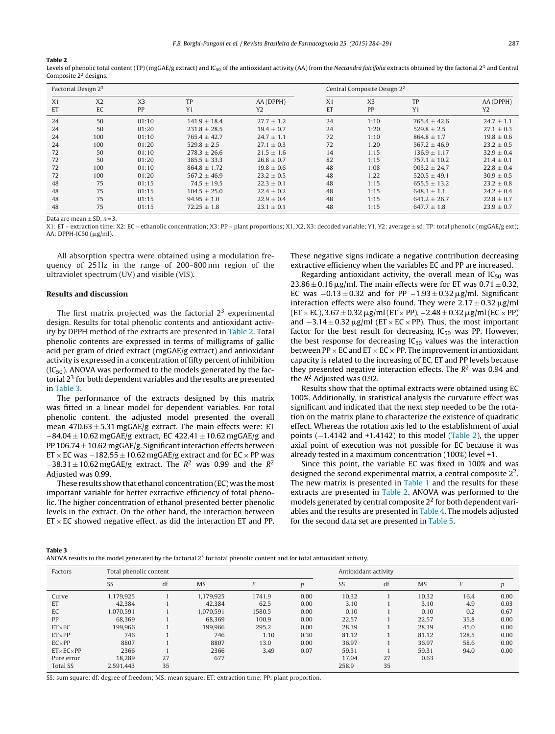#### **Table 2**

Levels of phenolic total content (TP) (mgGAE/g extract) and IC<sub>50</sub> of the antioxidant activity (AA) from the Nectandra falcifolia extracts obtained by the factorial 2<sup>3</sup> and Central Composite 22 designs.

| Factorial Design 2 <sup>3</sup> |                |                |                  |                |                | Central Composite Design 2 <sup>2</sup> |                  |                |  |  |
|---------------------------------|----------------|----------------|------------------|----------------|----------------|-----------------------------------------|------------------|----------------|--|--|
| X <sub>1</sub>                  | X <sub>2</sub> | X <sub>3</sub> | TP               | AA (DPPH)      | X <sub>1</sub> | X <sub>3</sub>                          | TP               | AA (DPPH)      |  |  |
| ET                              | EC             | PP             | Y1               | Y <sub>2</sub> | ET             | PP                                      | Y1               | Y <sub>2</sub> |  |  |
| 24                              | 50             | 01:10          | $141.9 + 18.4$   | $27.7 + 1.2$   | 24             | 1:10                                    | $765.4 + 42.6$   | $24.7 + 1.1$   |  |  |
| 24                              | 50             | 01:20          | $231.8 \pm 28.5$ | $19.4 \pm 0.7$ | 24             | 1:20                                    | $529.8 \pm 2.5$  | $27.1 \pm 0.3$ |  |  |
| 24                              | 100            | 01:10          | $765.4 \pm 42.7$ | $24.7 \pm 1.1$ | 72             | 1:10                                    | $864.8 \pm 1.7$  | $19.8 \pm 0.6$ |  |  |
| 24                              | 100            | 01:20          | $529.8 + 2.5$    | $27.1 + 0.3$   | 72             | 1:20                                    | $567.2 + 46.9$   | $23.2 + 0.5$   |  |  |
| 72                              | 50             | 01:10          | $278.3 \pm 26.6$ | $21.5 \pm 1.6$ | 14             | 1:15                                    | $136.9 + 1.17$   | $32.9 \pm 0.4$ |  |  |
| 72                              | 50             | 01:20          | $385.5 + 33.3$   | $26.8 \pm 0.7$ | 82             | 1:15                                    | $757.1 + 10.2$   | $21.4 \pm 0.1$ |  |  |
| 72                              | 100            | 01:10          | $864.8 + 1.72$   | $19.8 \pm 0.6$ | 48             | 1:08                                    | $903.2 + 24.7$   | $22.8 \pm 0.4$ |  |  |
| 72                              | 100            | 01:20          | $567.2 + 46.9$   | $23.2 \pm 0.5$ | 48             | 1:22                                    | $520.5 \pm 49.1$ | $30.9 \pm 0.5$ |  |  |
| 48                              | 75             | 01:15          | $74.5 + 19.5$    | $22.3 + 0.1$   | 48             | 1:15                                    | $655.5 \pm 13.2$ | $23.2 + 0.8$   |  |  |
| 48                              | 75             | 01:15          | $104.5 + 25.0$   | $22.4 \pm 0.2$ | 48             | 1:15                                    | $648.3 \pm 1.1$  | $24.2 \pm 0.4$ |  |  |
| 48                              | 75             | 01:15          | $94.95 \pm 1.0$  | $22.9 \pm 0.4$ | 48             | 1:15                                    | $641.2 \pm 26.7$ | $22.8 \pm 0.7$ |  |  |
| 48                              | 75             | 01:15          | $72.25 \pm 1.8$  | $23.1 \pm 0.1$ | 48             | 1:15                                    | $647.7 \pm 1.8$  | $23.9 \pm 0.7$ |  |  |

Data are mean  $+$  SD,  $n = 3$ .

X1: ET – extraction time; X2: EC – ethanolic concentration; X3: PP – plant proportions; X1, X2, X3: decoded variable; Y1, Y2: average ± sd; TP: total phenolic (mgGAE/g ext); AA: DPPH-IC50 (μg/ml).

All absorption spectra were obtained using a modulation frequency of 25 Hz in the range of 200–800 nm region of the ultraviolet spectrum (UV) and visible (VIS).

#### **Results and discussion**

The first matrix projected was the factorial  $2<sup>3</sup>$  experimental design. Results for total phenolic contents and antioxidant activity by DPPH method of the extracts are presented in Table 2. Total phenolic contents are expressed in terms of milligrams of gallic acid per gram of dried extract (mgGAE/g extract) and antioxidant activity is expressed in a concentration of fifty percent of inhibition  $(IC_{50})$ . ANOVA was performed to the models generated by the factorial  $2<sup>3</sup>$  for both dependent variables and the results are presented in Table 3.

The performance of the extracts designed by this matrix was fitted in a linear model for dependent variables. For total phenolic content, the adjusted model presented the overall mean  $470.63 \pm 5.31$  mgGAE/g extract. The main effects were: ET  $-84.04 \pm 10.62$  mgGAE/g extract, EC 422.41  $\pm$  10.62 mgGAE/g and PP 106.74  $\pm$  10.62 mgGAE/g. Significant interaction effects between ET  $\times$  EC was  $-182.55 \pm 10.62$  mgGAE/g extract and for EC  $\times$  PP was  $-38.31 \pm 10.62$  mgGAE/g extract. The  $R^2$  was 0.99 and the  $R^2$ Adjusted was 0.99.

These results show that ethanol concentration (EC) was the most important variable for better extractive efficiency of total phenolic. The higher concentration of ethanol presented better phenolic levels in the extract. On the other hand, the interaction between  $ET \times EC$  showed negative effect, as did the interaction ET and PP.

These negative signs indicate a negative contribution decreasing extractive efficiency when the variables EC and PP are increased.

Regarding antioxidant activity, the overall mean of  $IC_{50}$  was  $23.86 \pm 0.16$   $\mu$ g/ml. The main effects were for ET was  $0.71 \pm 0.32$ , EC was  $-0.13 \pm 0.32$  and for PP  $-1.93 \pm 0.32$   $\mu$ g/ml. Significant interaction effects were also found. They were  $2.17 \pm 0.32 \,\mathrm{\upmu g/m}$  $(ET \times EC)$ , 3.67  $\pm$  0.32  $\mu$ g/ml (ET  $\times$  PP), -2.48  $\pm$  0.32  $\mu$ g/ml (EC  $\times$  PP) and  $-3.14 \pm 0.32 \,\mu$ g/ml (ET × EC × PP). Thus, the most important factor for the best result for decreasing  $IC_{50}$  was PP. However, the best response for decreasing  $IC_{50}$  values was the interaction between PP  $\times$  EC and ET  $\times$  EC  $\times$  PP. The improvement in antioxidant capacity is related to the increasing of EC, ET and PP levels because they presented negative interaction effects. The  $R<sup>2</sup>$  was 0.94 and the  $R^2$  Adjusted was 0.92.

Results show that the optimal extracts were obtained using EC 100%. Additionally, in statistical analysis the curvature effect was significant and indicated that the next step needed to be the rotation on the matrix plane to characterize the existence of quadratic effect. Whereas the rotation axis led to the establishment of axial points (−1.4142 and +1.4142) to this model (Table 2), the upper axial point of execution was not possible for EC because it was already tested in a maximum concentration (100%) level +1.

Since this point, the variable EC was fixed in 100% and was designed the second experimental matrix, a central composite 22. The new matrix is presented in [Table](#page-2-0) 1 and the results for these extracts are presented in Table 2. ANOVA was performed to the models generated by central composite 22 for both dependent variables and the results are presented in [Table](#page-4-0) 4. The models adjusted for the second data set are presented in [Table](#page-4-0) 5.

**Table 3**

| ANOVA results to the model generated by the factorial $23$ for total phenolic content and for total antioxidant activity. |  |  |  |  |
|---------------------------------------------------------------------------------------------------------------------------|--|--|--|--|
|---------------------------------------------------------------------------------------------------------------------------|--|--|--|--|

| Factors                  | Total phenolic content |    |           |        |                  | Antioxidant activity |    |           |       |      |  |
|--------------------------|------------------------|----|-----------|--------|------------------|----------------------|----|-----------|-------|------|--|
|                          |                        |    |           |        |                  |                      |    |           |       |      |  |
|                          | SS                     | df | <b>MS</b> |        | $\boldsymbol{p}$ | SS                   | df | <b>MS</b> | F     | р    |  |
| Curve                    | 1.179.925              |    | 1.179.925 | 1741.9 | 0.00             | 10.32                |    | 10.32     | 16.4  | 0.00 |  |
| ET                       | 42.384                 |    | 42.384    | 62.5   | 0.00             | 3.10                 |    | 3.10      | 4.9   | 0.03 |  |
| EC                       | 1.070.591              |    | 1.070.591 | 1580.5 | 0.00             | 0.10                 |    | 0.10      | 0.2   | 0.67 |  |
| PP                       | 68.369                 |    | 68,369    | 100.9  | 0.00             | 22.57                |    | 22.57     | 35.8  | 0.00 |  |
| $ET \times EC$           | 199.966                |    | 199.966   | 295.2  | 0.00             | 28.39                |    | 28.39     | 45.0  | 0.00 |  |
| $ET \times PP$           | 746                    |    | 746       | 1.10   | 0.30             | 81.12                |    | 81.12     | 128.5 | 0.00 |  |
| $EC \times PP$           | 8807                   |    | 8807      | 13.0   | 0.00             | 36.97                |    | 36.97     | 58.6  | 0.00 |  |
| $ET \times EC \times PP$ | 2366                   |    | 2366      | 3.49   | 0.07             | 59.31                |    | 59.31     | 94.0  | 0.00 |  |
| Pure error               | 18.289                 | 27 | 677       |        |                  | 17.04                | 27 | 0.63      |       |      |  |
| <b>Total SS</b>          | 2.591.443              | 35 |           |        |                  | 258.9                | 35 |           |       |      |  |

SS: sum square; df: degree of freedom; MS: mean square; ET: extraction time; PP: plant proportion.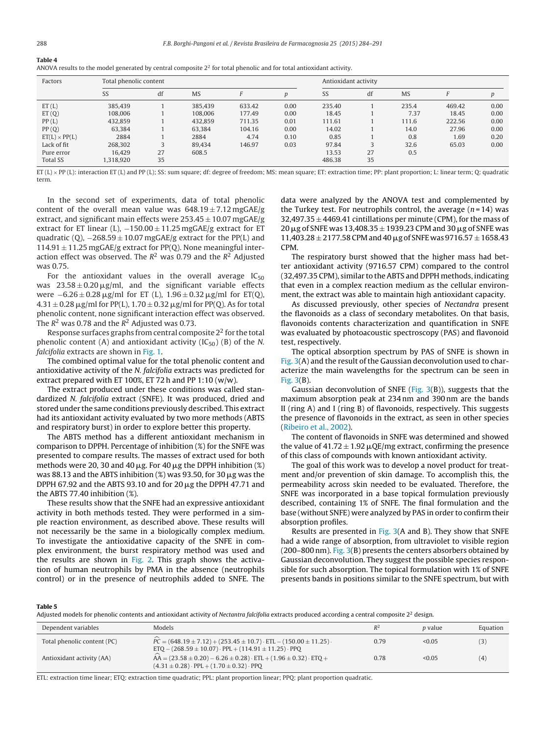<span id="page-4-0"></span>

| ANOVA results to the model generated by central composite $22$ for total phenolic and for total antioxidant activity. |  |  |
|-----------------------------------------------------------------------------------------------------------------------|--|--|
|                                                                                                                       |  |  |

| Factors              | Total phenolic content |    |           | Antioxidant activity |      |        |    |           |        |      |
|----------------------|------------------------|----|-----------|----------------------|------|--------|----|-----------|--------|------|
|                      | SS                     | df | <b>MS</b> |                      | D    | SS     | df | <b>MS</b> | E      | p    |
| ET(L)                | 385,439                |    | 385.439   | 633.42               | 0.00 | 235.40 |    | 235.4     | 469.42 | 0.00 |
| ET(Q)                | 108,006                |    | 108,006   | 177.49               | 0.00 | 18.45  |    | 7.37      | 18.45  | 0.00 |
| PP(L)                | 432.859                |    | 432.859   | 711.35               | 0.01 | 111.61 |    | 111.6     | 222.56 | 0.00 |
| PP(Q)                | 63.384                 |    | 63.384    | 104.16               | 0.00 | 14.02  |    | 14.0      | 27.96  | 0.00 |
| $ET(L) \times PP(L)$ | 2884                   |    | 2884      | 4.74                 | 0.10 | 0.85   |    | 0.8       | 1.69   | 0.20 |
| Lack of fit          | 268,302                | 3  | 89.434    | 146.97               | 0.03 | 97.84  |    | 32.6      | 65.03  | 0.00 |
| Pure error           | 16.429                 | 27 | 608.5     |                      |      | 13.53  | 27 | 0.5       |        |      |
| <b>Total SS</b>      | 1,318,920              | 35 |           |                      |      | 486.38 | 35 |           |        |      |

 $ET(L) \times PP(L)$ : interaction ET (L) and PP (L); SS; sum square; df; degree of freedom; MS; mean square; ET; extraction time; PP; plant proportion; L; linear term; O; quadratic term.

In the second set of experiments, data of total phenolic content of the overall mean value was  $648.19 \pm 7.12$  mgGAE/g extract, and significant main effects were  $253.45 \pm 10.07$  mgGAE/g extract for ET linear (L),  $-150.00 \pm 11.25$  mgGAE/g extract for ET quadratic (Q),  $-268.59 \pm 10.07$  mgGAE/g extract for the PP(L) and  $114.91 \pm 11.25$  mgGAE/g extract for PP(Q). None meaningful interaction effect was observed. The  $R^2$  was 0.79 and the  $R^2$  Adjusted was 0.75.

For the antioxidant values in the overall average  $IC_{50}$ was  $23.58 \pm 0.20 \,\mathrm{\upmu g/mL}$  and the significant variable effects were  $-6.26 \pm 0.28$  µg/ml for ET (L),  $1.96 \pm 0.32$  µg/ml for ET(Q),  $4.31 \pm 0.28$   $\mu$ g/ml for PP(L), 1.70  $\pm$  0.32  $\mu$ g/ml for PP(Q). As for total phenolic content, none significant interaction effect was observed. The  $R^2$  was 0.78 and the  $R^2$  Adjusted was 0.73.

Response surfaces graphs from central composite 22 for the total phenolic content (A) and antioxidant activity  $(IC_{50})$  (B) of the N. falcifolia extracts are shown in [Fig.](#page-5-0) 1.

The combined optimal value for the total phenolic content and antioxidative activity of the N. falcifolia extracts was predicted for extract prepared with ET 100%, ET 72 h and PP 1:10 (w/w).

The extract produced under these conditions was called standardized N. falcifolia extract (SNFE). It was produced, dried and stored under the same conditions previously described. This extract had its antioxidant activity evaluated by two more methods (ABTS and respiratory burst) in order to explore better this property.

The ABTS method has a different antioxidant mechanism in comparison to DPPH. Percentage of inhibition (%) for the SNFE was presented to compare results. The masses of extract used for both methods were 20, 30 and 40  $\mu$ g. For 40  $\mu$ g the DPPH inhibition (%) was 88.13 and the ABTS inhibition (%) was 93.50, for 30  $\mu$ g was the DPPH 67.92 and the ABTS 93.10 and for 20  $\mu$ g the DPPH 47.71 and the ABTS 77.40 inhibition (%).

These results show that the SNFE had an expressive antioxidant activity in both methods tested. They were performed in a simple reaction environment, as described above. These results will not necessarily be the same in a biologically complex medium. To investigate the antioxidative capacity of the SNFE in complex environment, the burst respiratory method was used and the results are shown in [Fig.](#page-5-0) 2. This graph shows the activation of human neutrophils by PMA in the absence (neutrophils control) or in the presence of neutrophils added to SNFE. The

data were analyzed by the ANOVA test and complemented by the Turkey test. For neutrophils control, the average  $(n=14)$  was  $32.497.35 \pm 4469.41$  cintillations per minute (CPM), for the mass of 20  $\mu$ g of SNFE was 13,408.35  $\pm$  1939.23 CPM and 30  $\mu$ g of SNFE was  $11,403.28 \pm 2177.58$  CPM and 40  $\mu$ g of SNFE was 9716.57  $\pm$  1658.43 CPM.

The respiratory burst showed that the higher mass had better antioxidant activity (9716.57 CPM) compared to the control (32,497.35 CPM), similar to the ABTS and DPPH methods, indicating that even in a complex reaction medium as the cellular environment, the extract was able to maintain high antioxidant capacity.

As discussed previously, other species of Nectandra present the flavonoids as a class of secondary metabolites. On that basis, flavonoids contents characterization and quantification in SNFE was evaluated by photoacoustic spectroscopy (PAS) and flavonoid test, respectively.

The optical absorption spectrum by PAS of SNFE is shown in [Fig.](#page-5-0)  $3(A)$  and the result of the Gaussian deconvolution used to characterize the main wavelengths for the spectrum can be seen in [Fig.](#page-5-0) 3(B).

Gaussian deconvolution of SNFE [\(Fig.](#page-5-0)  $3(B)$ ), suggests that the maximum absorption peak at 234 nm and 390 nm are the bands II (ring A) and I (ring B) of flavonoids, respectively. This suggests the presence of flavonoids in the extract, as seen in other species [\(Ribeiro](#page-7-0) et [al.,](#page-7-0) [2002\).](#page-7-0)

The content of flavonoids in SNFE was determined and showed the value of  $41.72 \pm 1.92 \mu$ QE/mg extract, confirming the presence of this class of compounds with known antioxidant activity.

The goal of this work was to develop a novel product for treatment and/or prevention of skin damage. To accomplish this, the permeability across skin needed to be evaluated. Therefore, the SNFE was incorporated in a base topical formulation previously described, containing 1% of SNFE. The final formulation and the base (without SNFE) were analyzed by PAS in order to confirm their absorption profiles.

Results are presented in [Fig.](#page-5-0) 3(A and B). They show that SNFE had a wide range of absorption, from ultraviolet to visible region  $(200–800 \text{ nm})$ . [Fig.](#page-5-0) [3\(B](#page-5-0)) presents the centers absorbers obtained by Gaussian deconvolution. They suggest the possible species responsible for such absorption. The topical formulation with 1% of SNFE presents bands in positions similar to the SNFE spectrum, but with

#### **Table 5**

Adjusted models for phenolic contents and antioxidant activity of Nectantra falcifolia extracts produced according a central composite  $2^2$  design.

| Dependent variables         | Models                                                                                                                                                                     | $R^2$ | <i>p</i> value | Equation |
|-----------------------------|----------------------------------------------------------------------------------------------------------------------------------------------------------------------------|-------|----------------|----------|
| Total phenolic content (PC) | $\overline{PC} = (648.19 \pm 7.12) + (253.45 \pm 10.7) \cdot \overline{ETL} - (150.00 \pm 11.25)$ .<br>$ETQ - (268.59 \pm 10.07) \cdot PPL + (114.91 \pm 11.25) \cdot PPO$ | 0.79  | < 0.05         | (3)      |
| Antioxidant activity (AA)   | $AA = (23.58 \pm 0.20) - 6.26 \pm 0.28$ . $ETL + (1.96 \pm 0.32)$ . $ETO +$<br>$(4.31 \pm 0.28) \cdot PPL + (1.70 \pm 0.32) \cdot PPO$                                     | 0.78  | < 0.05         | (4)      |

ETL: extraction time linear; ETQ: extraction time quadratic; PPL: plant proportion linear; PPQ: plant proportion quadratic.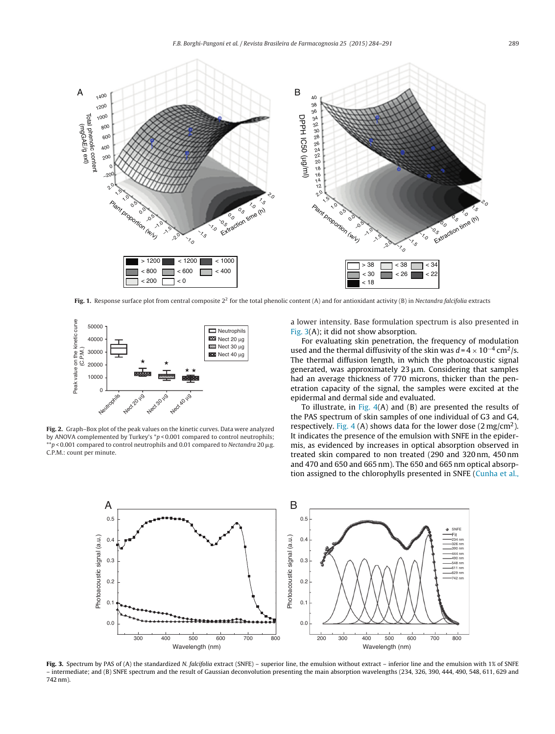<span id="page-5-0"></span>

**Fig. 1.** Response surface plot from central composite  $2<sup>2</sup>$  for the total phenolic content (A) and for antioxidant activity (B) in Nectandra falcifolia extracts



**Fig. 2.** Graph–Box plot of the peak values on the kinetic curves. Data were analyzed by ANOVA complemented by Turkey's  $*p < 0.001$  compared to control neutrophils;  $*p$  < 0.001 compared to control neutrophils and 0.01 compared to Nectandra 20  $\mu$ g. C.P.M.: count per minute.

a lower intensity. Base formulation spectrum is also presented in Fig. 3(A); it did not show absorption.

For evaluating skin penetration, the frequency of modulation used and the thermal diffusivity of the skin was  $d = 4 \times 10^{-4}$  cm<sup>2</sup>/s. The thermal diffusion length, in which the photoacoustic signal generated, was approximately  $23 \mu$ m. Considering that samples had an average thickness of 770 microns, thicker than the penetration capacity of the signal, the samples were excited at the epidermal and dermal side and evaluated.

To illustrate, in [Fig.](#page-6-0)  $4(A)$  and  $(B)$  are presented the results of the PAS spectrum of skin samples of one individual of G3 and G4, respectively. [Fig.](#page-6-0) 4 (A) shows data for the lower dose  $(2 \text{ mg/cm}^2)$ . It indicates the presence of the emulsion with SNFE in the epidermis, as evidenced by increases in optical absorption observed in treated skin compared to non treated (290 and 320 nm, 450 nm and 470 and 650 and 665 nm). The 650 and 665 nm optical absorption assigned to the chlorophylls presented in SNFE [\(Cunha](#page-7-0) et [al.,](#page-7-0)



Fig. 3. Spectrum by PAS of (A) the standardized N. falcifolia extract (SNFE) – superior line, the emulsion without extract – inferior line and the emulsion with 1% of SNFE – intermediate; and (B) SNFE spectrum and the result of Gaussian deconvolution presenting the main absorption wavelengths (234, 326, 390, 444, 490, 548, 611, 629 and 742 nm).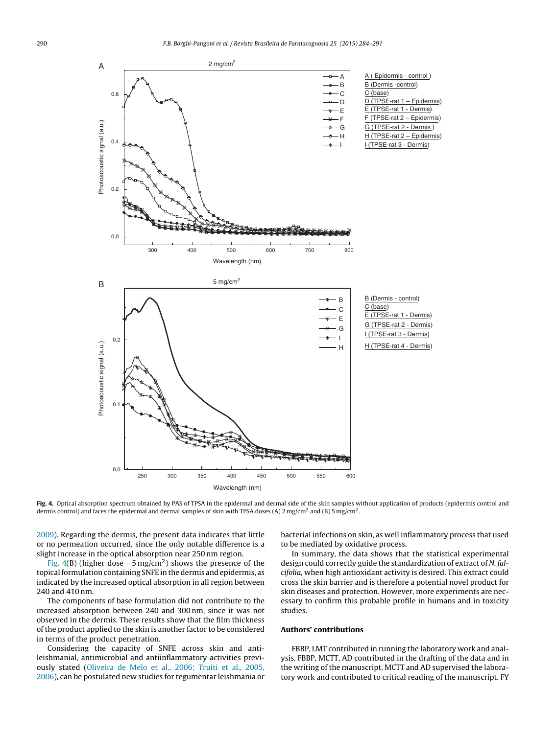<span id="page-6-0"></span>

**Fig. 4.** Optical absorption spectrum obtained by PAS of TPSA in the epidermal and dermal side of the skin samples without application of products (epidermis control and dermis control) and faces the epidermal and dermal samples of skin with TPSA doses (A) 2 mg/cm<sup>2</sup> and (B) 5 mg/cm<sup>2</sup>.

[2009\).](#page-7-0) Regarding the dermis, the present data indicates that little or no permeation occurred, since the only notable difference is a slight increase in the optical absorption near 250 nm region.

Fig. 4(B) (higher dose  $-5 \text{ mg/cm}^2$ ) shows the presence of the topical formulation containing SNFE in the dermis and epidermis, as indicated by the increased optical absorption in all region between 240 and 410 nm.

The components of base formulation did not contribute to the increased absorption between 240 and 300 nm, since it was not observed in the dermis. These results show that the film thickness of the product applied to the skin is another factor to be considered in terms of the product penetration.

Considering the capacity of SNFE across skin and antileishmanial, antimicrobial and antiinflammatory activities previously stated [\(Oliveira](#page-7-0) [de](#page-7-0) [Melo](#page-7-0) et [al.,](#page-7-0) [2006;](#page-7-0) [Truiti](#page-7-0) et [al.,](#page-7-0) [2005,](#page-7-0) [2006\),](#page-7-0) can be postulated new studies for tegumentar leishmania or

bacterial infections on skin, as well inflammatory process that used to be mediated by oxidative process.

In summary, the data shows that the statistical experimental design could correctly guide the standardization of extract of N. falcifolia, when high antioxidant activity is desired. This extract could cross the skin barrier and is therefore a potential novel product for skin diseases and protection. However, more experiments are necessary to confirm this probable profile in humans and in toxicity studies.

#### **Authors' contributions**

FBBP, LMT contributed in running the laboratory work and analysis. FBBP, MCTT, AD contributed in the drafting of the data and in the writing of the manuscript. MCTT and AD supervised the laboratory work and contributed to critical reading of the manuscript. FY